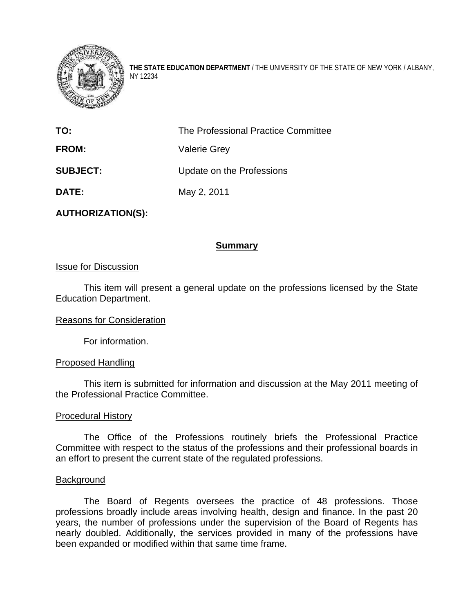

**THE STATE EDUCATION DEPARTMENT** / THE UNIVERSITY OF THE STATE OF NEW YORK / ALBANY, NY 12234

| TO:             | The Professional Practice Committee |
|-----------------|-------------------------------------|
| <b>FROM:</b>    | <b>Valerie Grey</b>                 |
| <b>SUBJECT:</b> | Update on the Professions           |
| DATE:           | May 2, 2011                         |

**AUTHORIZATION(S):** 

# **Summary**

## Issue for Discussion

This item will present a general update on the professions licensed by the State Education Department.

### Reasons for Consideration

For information.

### Proposed Handling

 This item is submitted for information and discussion at the May 2011 meeting of the Professional Practice Committee.

### Procedural History

The Office of the Professions routinely briefs the Professional Practice Committee with respect to the status of the professions and their professional boards in an effort to present the current state of the regulated professions.

### Background

The Board of Regents oversees the practice of 48 professions. Those professions broadly include areas involving health, design and finance. In the past 20 years, the number of professions under the supervision of the Board of Regents has nearly doubled. Additionally, the services provided in many of the professions have been expanded or modified within that same time frame.